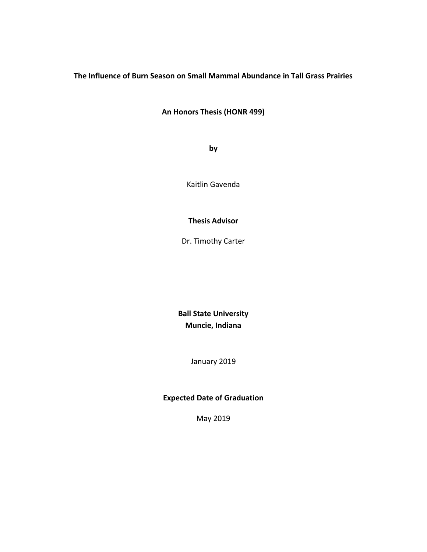# **The Influence of Burn Season on Small Mammal Abundance in Tall Grass Prairies**

**An Honors Thesis (HONR 499)**

**by**

Kaitlin Gavenda

## **Thesis Advisor**

Dr. Timothy Carter

**Ball State University Muncie, Indiana**

January 2019

## **Expected Date of Graduation**

May 2019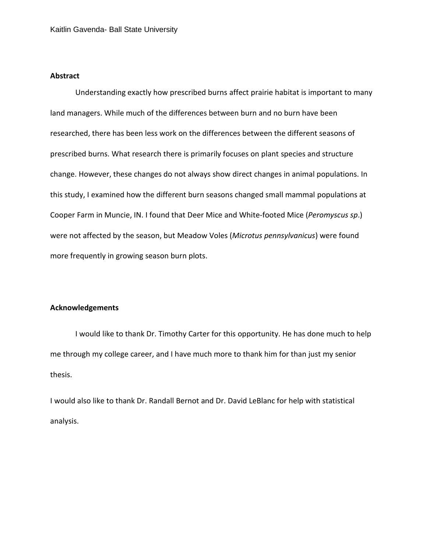## **Abstract**

Understanding exactly how prescribed burns affect prairie habitat is important to many land managers. While much of the differences between burn and no burn have been researched, there has been less work on the differences between the different seasons of prescribed burns. What research there is primarily focuses on plant species and structure change. However, these changes do not always show direct changes in animal populations. In this study, I examined how the different burn seasons changed small mammal populations at Cooper Farm in Muncie, IN. I found that Deer Mice and White-footed Mice (*Peromyscus sp*.) were not affected by the season, but Meadow Voles (*Microtus pennsylvanicus*) were found more frequently in growing season burn plots.

### **Acknowledgements**

I would like to thank Dr. Timothy Carter for this opportunity. He has done much to help me through my college career, and I have much more to thank him for than just my senior thesis.

I would also like to thank Dr. Randall Bernot and Dr. David LeBlanc for help with statistical analysis.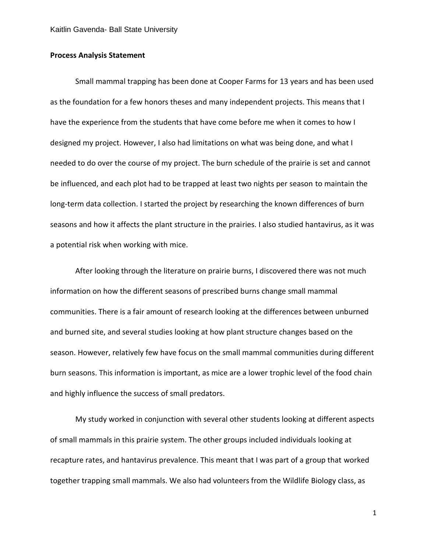## **Process Analysis Statement**

Small mammal trapping has been done at Cooper Farms for 13 years and has been used as the foundation for a few honors theses and many independent projects. This means that I have the experience from the students that have come before me when it comes to how I designed my project. However, I also had limitations on what was being done, and what I needed to do over the course of my project. The burn schedule of the prairie is set and cannot be influenced, and each plot had to be trapped at least two nights per season to maintain the long-term data collection. I started the project by researching the known differences of burn seasons and how it affects the plant structure in the prairies. I also studied hantavirus, as it was a potential risk when working with mice.

After looking through the literature on prairie burns, I discovered there was not much information on how the different seasons of prescribed burns change small mammal communities. There is a fair amount of research looking at the differences between unburned and burned site, and several studies looking at how plant structure changes based on the season. However, relatively few have focus on the small mammal communities during different burn seasons. This information is important, as mice are a lower trophic level of the food chain and highly influence the success of small predators.

My study worked in conjunction with several other students looking at different aspects of small mammals in this prairie system. The other groups included individuals looking at recapture rates, and hantavirus prevalence. This meant that I was part of a group that worked together trapping small mammals. We also had volunteers from the Wildlife Biology class, as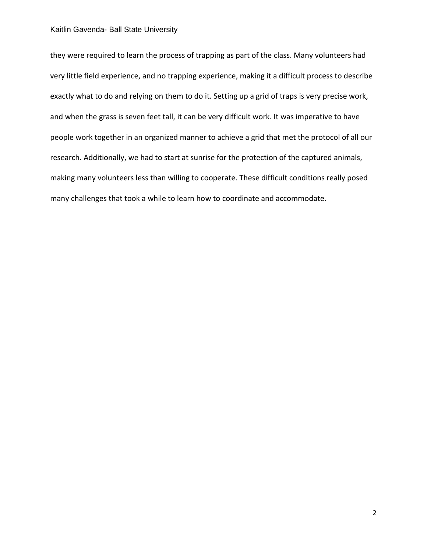### Kaitlin Gavenda- Ball State University

they were required to learn the process of trapping as part of the class. Many volunteers had very little field experience, and no trapping experience, making it a difficult process to describe exactly what to do and relying on them to do it. Setting up a grid of traps is very precise work, and when the grass is seven feet tall, it can be very difficult work. It was imperative to have people work together in an organized manner to achieve a grid that met the protocol of all our research. Additionally, we had to start at sunrise for the protection of the captured animals, making many volunteers less than willing to cooperate. These difficult conditions really posed many challenges that took a while to learn how to coordinate and accommodate.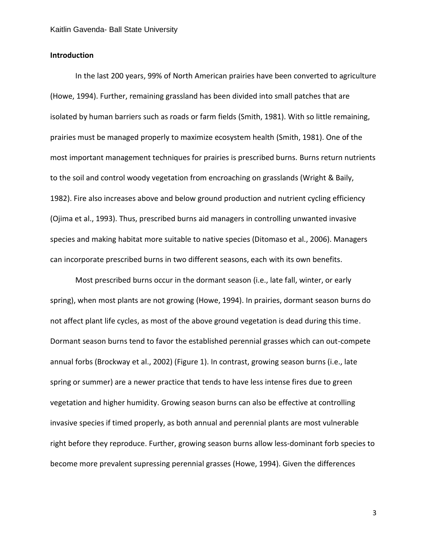### **Introduction**

In the last 200 years, 99% of North American prairies have been converted to agriculture (Howe, 1994). Further, remaining grassland has been divided into small patches that are isolated by human barriers such as roads or farm fields (Smith, 1981). With so little remaining, prairies must be managed properly to maximize ecosystem health (Smith, 1981). One of the most important management techniques for prairies is prescribed burns. Burns return nutrients to the soil and control woody vegetation from encroaching on grasslands (Wright & Baily, 1982). Fire also increases above and below ground production and nutrient cycling efficiency (Ojima et al., 1993). Thus, prescribed burns aid managers in controlling unwanted invasive species and making habitat more suitable to native species (Ditomaso et al., 2006). Managers can incorporate prescribed burns in two different seasons, each with its own benefits.

Most prescribed burns occur in the dormant season (i.e., late fall, winter, or early spring), when most plants are not growing (Howe, 1994). In prairies, dormant season burns do not affect plant life cycles, as most of the above ground vegetation is dead during this time. Dormant season burns tend to favor the established perennial grasses which can out-compete annual forbs (Brockway et al., 2002) (Figure 1). In contrast, growing season burns (i.e., late spring or summer) are a newer practice that tends to have less intense fires due to green vegetation and higher humidity. Growing season burns can also be effective at controlling invasive species if timed properly, as both annual and perennial plants are most vulnerable right before they reproduce. Further, growing season burns allow less-dominant forb species to become more prevalent supressing perennial grasses (Howe, 1994). Given the differences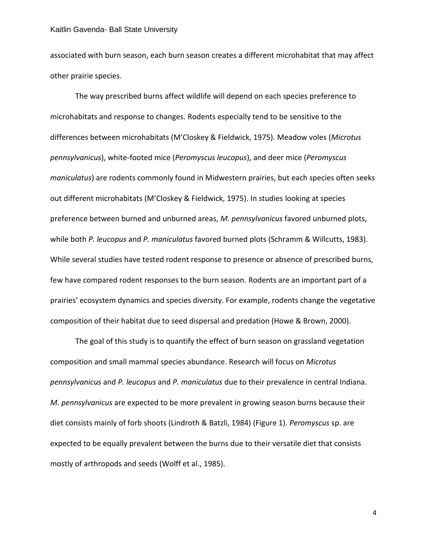### Kaitlin Gavenda- Ball State University

associated with burn season, each burn season creates a different microhabitat that may affect other prairie species.

The way prescribed burns affect wildlife will depend on each species preference to microhabitats and response to changes. Rodents especially tend to be sensitive to the differences between microhabitats (M'Closkey & Fieldwick, 1975). Meadow voles (*Microtus pennsylvanicus*), white-footed mice (*Peromyscus leucopus*), and deer mice (*Peromyscus maniculatus*) are rodents commonly found in Midwestern prairies, but each species often seeks out different microhabitats (M'Closkey & Fieldwick, 1975). In studies looking at species preference between burned and unburned areas, *M. pennsylvanicus* favored unburned plots, while both *P. leucopus* and *P. maniculatus* favored burned plots (Schramm & Willcutts, 1983). While several studies have tested rodent response to presence or absence of prescribed burns, few have compared rodent responses to the burn season. Rodents are an important part of a prairies' ecosystem dynamics and species diversity. For example, rodents change the vegetative composition of their habitat due to seed dispersal and predation (Howe & Brown, 2000).

The goal of this study is to quantify the effect of burn season on grassland vegetation composition and small mammal species abundance. Research will focus on *Microtus pennsylvanicus* and *P. leucopus* and *P. maniculatus* due to their prevalence in central Indiana. *M. pennsylvanicus* are expected to be more prevalent in growing season burns because their diet consists mainly of forb shoots (Lindroth & Batzli, 1984) (Figure 1). *Peromyscus* sp. are expected to be equally prevalent between the burns due to their versatile diet that consists mostly of arthropods and seeds (Wolff et al., 1985).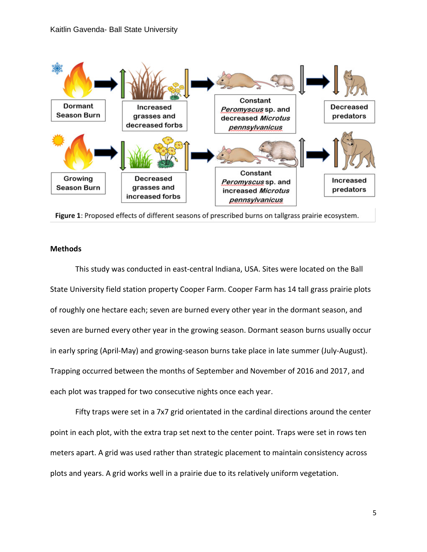

Figure 1: Proposed effects of different seasons of prescribed burns on tallgrass prairie ecosystem.

## **Methods**

This study was conducted in east-central Indiana, USA. Sites were located on the Ball State University field station property Cooper Farm. Cooper Farm has 14 tall grass prairie plots of roughly one hectare each; seven are burned every other year in the dormant season, and seven are burned every other year in the growing season. Dormant season burns usually occur in early spring (April-May) and growing-season burns take place in late summer (July-August). Trapping occurred between the months of September and November of 2016 and 2017, and each plot was trapped for two consecutive nights once each year.

Fifty traps were set in a 7x7 grid orientated in the cardinal directions around the center point in each plot, with the extra trap set next to the center point. Traps were set in rows ten meters apart. A grid was used rather than strategic placement to maintain consistency across plots and years. A grid works well in a prairie due to its relatively uniform vegetation.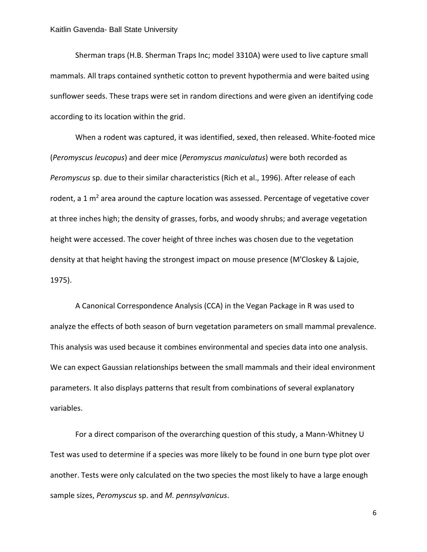Sherman traps (H.B. Sherman Traps Inc; model 3310A) were used to live capture small mammals. All traps contained synthetic cotton to prevent hypothermia and were baited using sunflower seeds. These traps were set in random directions and were given an identifying code according to its location within the grid.

When a rodent was captured, it was identified, sexed, then released. White-footed mice (*Peromyscus leucopus*) and deer mice (*Peromyscus maniculatus*) were both recorded as *Peromyscus* sp. due to their similar characteristics (Rich et al., 1996). After release of each rodent, a 1  $m<sup>2</sup>$  area around the capture location was assessed. Percentage of vegetative cover at three inches high; the density of grasses, forbs, and woody shrubs; and average vegetation height were accessed. The cover height of three inches was chosen due to the vegetation density at that height having the strongest impact on mouse presence (M'Closkey & Lajoie, 1975).

A Canonical Correspondence Analysis (CCA) in the Vegan Package in R was used to analyze the effects of both season of burn vegetation parameters on small mammal prevalence. This analysis was used because it combines environmental and species data into one analysis. We can expect Gaussian relationships between the small mammals and their ideal environment parameters. It also displays patterns that result from combinations of several explanatory variables.

For a direct comparison of the overarching question of this study, a Mann-Whitney U Test was used to determine if a species was more likely to be found in one burn type plot over another. Tests were only calculated on the two species the most likely to have a large enough sample sizes, *Peromyscus* sp. and *M. pennsylvanicus*.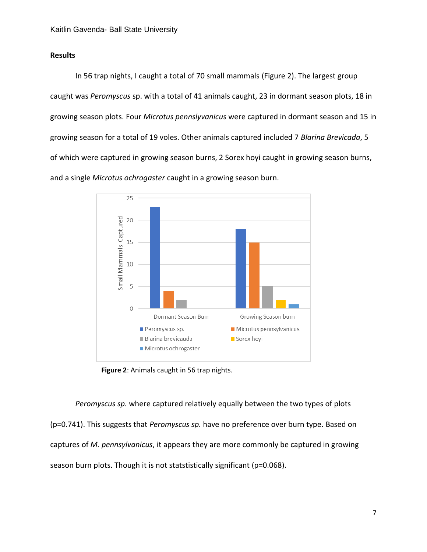## **Results**

In 56 trap nights, I caught a total of 70 small mammals (Figure 2). The largest group caught was *Peromyscus* sp. with a total of 41 animals caught, 23 in dormant season plots, 18 in growing season plots. Four *Microtus pennslyvanicus* were captured in dormant season and 15 in growing season for a total of 19 voles. Other animals captured included 7 *Blarina Brevicada*, 5 of which were captured in growing season burns, 2 Sorex hoyi caught in growing season burns, and a single *Microtus ochrogaster* caught in a growing season burn.



**Figure 2**: Animals caught in 56 trap nights.

*Peromyscus sp.* where captured relatively equally between the two types of plots (p=0.741). This suggests that *Peromyscus sp.* have no preference over burn type. Based on captures of *M. pennsylvanicus*, it appears they are more commonly be captured in growing season burn plots. Though it is not statstistically significant (p=0.068).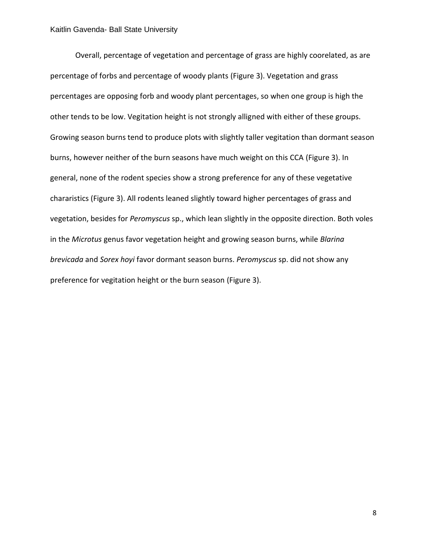### Kaitlin Gavenda- Ball State University

Overall, percentage of vegetation and percentage of grass are highly coorelated, as are percentage of forbs and percentage of woody plants (Figure 3). Vegetation and grass percentages are opposing forb and woody plant percentages, so when one group is high the other tends to be low. Vegitation height is not strongly alligned with either of these groups. Growing season burns tend to produce plots with slightly taller vegitation than dormant season burns, however neither of the burn seasons have much weight on this CCA (Figure 3). In general, none of the rodent species show a strong preference for any of these vegetative chararistics (Figure 3). All rodents leaned slightly toward higher percentages of grass and vegetation, besides for *Peromyscus* sp., which lean slightly in the opposite direction. Both voles in the *Microtus* genus favor vegetation height and growing season burns, while *Blarina brevicada* and *Sorex hoyi* favor dormant season burns. *Peromyscus* sp. did not show any preference for vegitation height or the burn season (Figure 3).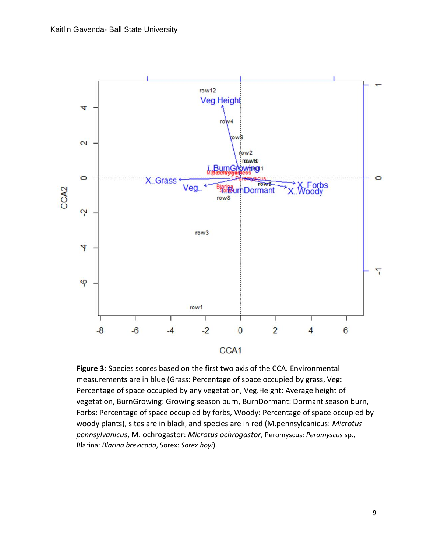

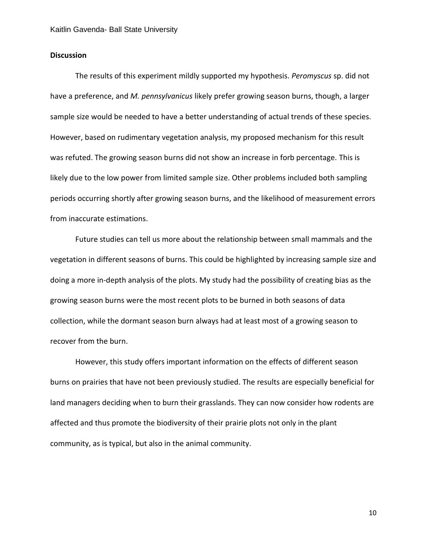## **Discussion**

The results of this experiment mildly supported my hypothesis. *Peromyscus* sp. did not have a preference, and *M. pennsylvanicus* likely prefer growing season burns, though, a larger sample size would be needed to have a better understanding of actual trends of these species. However, based on rudimentary vegetation analysis, my proposed mechanism for this result was refuted. The growing season burns did not show an increase in forb percentage. This is likely due to the low power from limited sample size. Other problems included both sampling periods occurring shortly after growing season burns, and the likelihood of measurement errors from inaccurate estimations.

Future studies can tell us more about the relationship between small mammals and the vegetation in different seasons of burns. This could be highlighted by increasing sample size and doing a more in-depth analysis of the plots. My study had the possibility of creating bias as the growing season burns were the most recent plots to be burned in both seasons of data collection, while the dormant season burn always had at least most of a growing season to recover from the burn.

However, this study offers important information on the effects of different season burns on prairies that have not been previously studied. The results are especially beneficial for land managers deciding when to burn their grasslands. They can now consider how rodents are affected and thus promote the biodiversity of their prairie plots not only in the plant community, as is typical, but also in the animal community.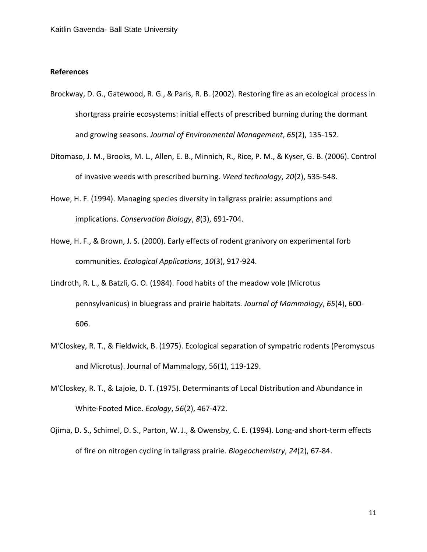### **References**

- Brockway, D. G., Gatewood, R. G., & Paris, R. B. (2002). Restoring fire as an ecological process in shortgrass prairie ecosystems: initial effects of prescribed burning during the dormant and growing seasons. *Journal of Environmental Management*, *65*(2), 135-152.
- Ditomaso, J. M., Brooks, M. L., Allen, E. B., Minnich, R., Rice, P. M., & Kyser, G. B. (2006). Control of invasive weeds with prescribed burning. *Weed technology*, *20*(2), 535-548.
- Howe, H. F. (1994). Managing species diversity in tallgrass prairie: assumptions and implications. *Conservation Biology*, *8*(3), 691-704.
- Howe, H. F., & Brown, J. S. (2000). Early effects of rodent granivory on experimental forb communities. *Ecological Applications*, *10*(3), 917-924.
- Lindroth, R. L., & Batzli, G. O. (1984). Food habits of the meadow vole (Microtus pennsylvanicus) in bluegrass and prairie habitats. *Journal of Mammalogy*, *65*(4), 600- 606.
- M'Closkey, R. T., & Fieldwick, B. (1975). Ecological separation of sympatric rodents (Peromyscus and Microtus). Journal of Mammalogy, 56(1), 119-129.
- M'Closkey, R. T., & Lajoie, D. T. (1975). Determinants of Local Distribution and Abundance in White‐Footed Mice. *Ecology*, *56*(2), 467-472.
- Ojima, D. S., Schimel, D. S., Parton, W. J., & Owensby, C. E. (1994). Long-and short-term effects of fire on nitrogen cycling in tallgrass prairie. *Biogeochemistry*, *24*(2), 67-84.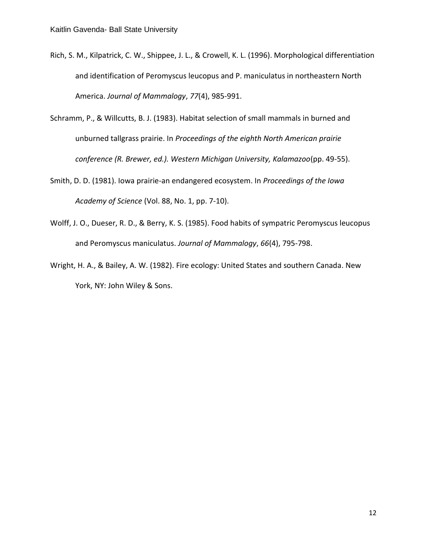- Rich, S. M., Kilpatrick, C. W., Shippee, J. L., & Crowell, K. L. (1996). Morphological differentiation and identification of Peromyscus leucopus and P. maniculatus in northeastern North America. *Journal of Mammalogy*, *77*(4), 985-991.
- Schramm, P., & Willcutts, B. J. (1983). Habitat selection of small mammals in burned and unburned tallgrass prairie. In *Proceedings of the eighth North American prairie conference (R. Brewer, ed.). Western Michigan University, Kalamazoo*(pp. 49-55).
- Smith, D. D. (1981). Iowa prairie-an endangered ecosystem. In *Proceedings of the Iowa Academy of Science* (Vol. 88, No. 1, pp. 7-10).
- Wolff, J. O., Dueser, R. D., & Berry, K. S. (1985). Food habits of sympatric Peromyscus leucopus and Peromyscus maniculatus. *Journal of Mammalogy*, *66*(4), 795-798.
- Wright, H. A., & Bailey, A. W. (1982). Fire ecology: United States and southern Canada. New York, NY: John Wiley & Sons.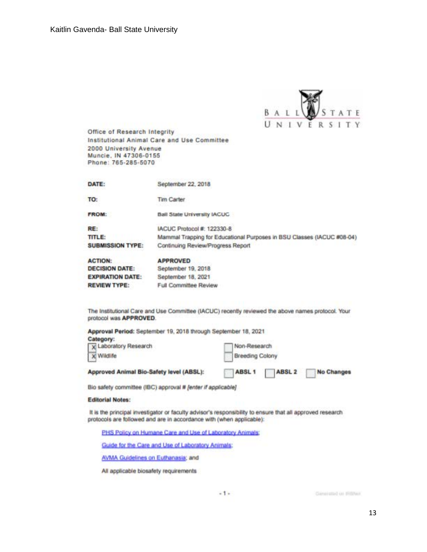

Office of Research Integrity Institutional Animal Care and Use Committee 20GO university Avenue Muncie, IN 47306-0155 Phone: 765·285·5070

| DATE:                   | September 22, 2018                                                     |
|-------------------------|------------------------------------------------------------------------|
| TO:                     | Tim Carter                                                             |
| <b>FROM:</b>            | Ball State University IACUC                                            |
| RE:                     | IACUC Protocol #: 122330-8                                             |
| TITLE:                  | Mammal Trapping for Educational Purposes in BSU Classes (IACUC #08-04) |
| <b>SUBMISSION TYPE:</b> | Continuing Review/Progress Report                                      |
| <b>ACTION:</b>          | <b>APPROVED</b>                                                        |
| <b>DECISION DATE:</b>   | September 19, 2018                                                     |
| <b>EXPIRATION DATE:</b> | September 18, 2021                                                     |
| <b>REVIEW TYPE:</b>     | Full Committee Review                                                  |

The Institutional Care and Use Committee (IACUC) recently reviewed the above names protocol. Your protocol was APPROVED.

| Approval Period: September 19, 2018 through September 18, 2021<br>Category: |                                                        |  |
|-----------------------------------------------------------------------------|--------------------------------------------------------|--|
| X Laboratory Research<br><b>X</b> Wildlife                                  | Non-Research<br><b>Breeding Colony</b>                 |  |
| Approved Animal Bio-Safety level (ABSL):                                    | ABSL <sub>1</sub><br><b>ABSL2</b><br><b>No Changes</b> |  |

Bio safety committee (IBC) approval # [enter if applicable]

#### Editorial Notes:

It is the principal investigator or faculty advisor's responsibility to ensure that all approved research protocols are followed and are in accordance with (when applicable):

PHS Policy on Humane Care and Use of Laboratory Animals:

Guide for the Care and Use of Laboratory Animals:

AVMA Guidelines on Euthanasia; and

All applicable biosafety requirements

Gansrated on HillNer